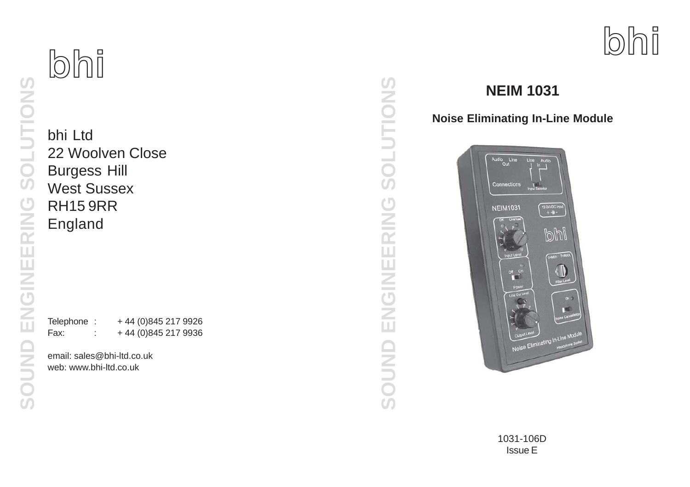bhi Ltd 22 Woolven Close Burgess Hill West Sussex RH15 9RR England

**bhi**

Telephone : +44 (0)845 217 9926 Fax: : +44 (0)845 217 9936

email: sales@bhi-ltd.co.uk web: www.bhi-ltd.co.uk

# SOLUTIONS **SOUND ENGINEERING SOLUTIONS** ENGINEERING SOUND

# **NEIM 1031**

**Noise Eliminating In-Line Module**

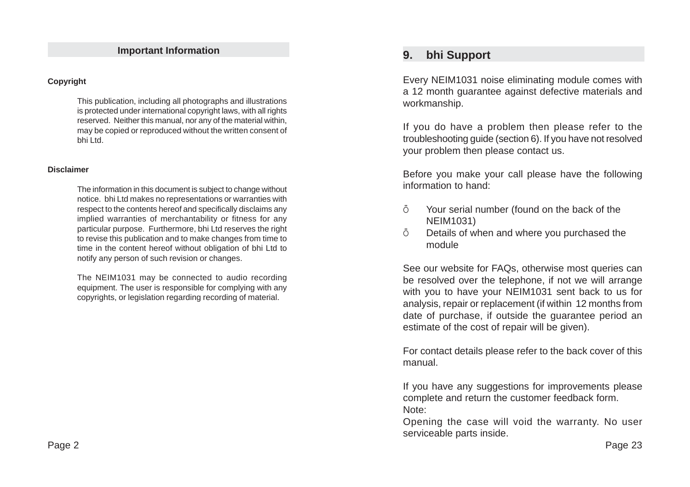#### **Important Information**

#### **Copyright**

This publication, including all photographs and illustrations is protected under international copyright laws, with all rights reserved. Neither this manual, nor any of the material within, may be copied or reproduced without the written consent of bhi Ltd.

#### **Disclaimer**

The information in this document is subject to change without notice. bhi Ltd makes no representations or warranties with respect to the contents hereof and specifically disclaims any implied warranties of merchantability or fitness for any particular purpose. Furthermore, bhi Ltd reserves the right to revise this publication and to make changes from time to time in the content hereof without obligation of bhi Ltd to notify any person of such revision or changes.

The NEIM1031 may be connected to audio recording equipment. The user is responsible for complying with any copyrights, or legislation regarding recording of material.

# **9. bhi Support**

Every NEIM1031 noise eliminating module comes with a 12 month guarantee against defective materials and workmanship.

If you do have a problem then please refer to the troubleshooting guide (section 6). If you have not resolved your problem then please contact us.

Before you make your call please have the following information to hand:

- Ö Your serial number (found on the back of the NEIM1031)
- Ö Details of when and where you purchased the module

See our website for FAQs, otherwise most queries can be resolved over the telephone, if not we will arrange with you to have your NEIM1031 sent back to us for analysis, repair or replacement (if within 12 months from date of purchase, if outside the guarantee period an estimate of the cost of repair will be given).

For contact details please refer to the back cover of this manual.

If you have any suggestions for improvements please complete and return the customer feedback form. Note:

Opening the case will void the warranty. No user serviceable parts inside.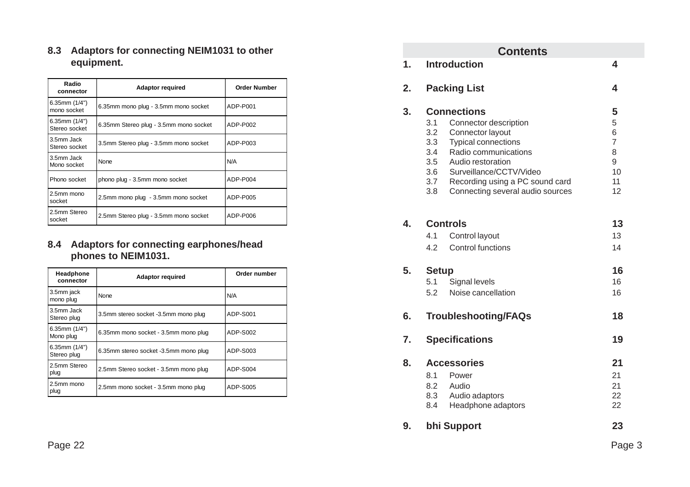| 8.3 Adaptors for connecting NEIM1031 to other |  |
|-----------------------------------------------|--|
| equipment.                                    |  |

| Radio<br>connector               | <b>Adaptor required</b>                | <b>Order Number</b> |
|----------------------------------|----------------------------------------|---------------------|
| 6.35mm $(1/4")$<br>mono socket   | 6.35mm mono plug - 3.5mm mono socket   | ADP-P001            |
| 6.35mm $(1/4")$<br>Stereo socket | 6.35mm Stereo plug - 3.5mm mono socket | ADP-P002            |
| 3.5mm Jack<br>Stereo socket      | 3.5mm Stereo plug - 3.5mm mono socket  | ADP-P003            |
| 3.5mm Jack<br>Mono socket        | None                                   | N/A                 |
| Phono socket                     | phono plug - 3.5mm mono socket         | ADP-P004            |
| 2.5mm mono<br>socket             | 2.5mm mono plug - 3.5mm mono socket    | ADP-P005            |
| 2.5mm Stereo<br>socket           | 2.5mm Stereo plug - 3.5mm mono socket  | ADP-P006            |

#### **8.4 Adaptors for connecting earphones/head phones to NEIM1031.**

| Headphone<br>connector         | <b>Adaptor required</b>               | Order number |
|--------------------------------|---------------------------------------|--------------|
| 3.5mm jack<br>mono plug        | None                                  | N/A          |
| 3.5mm Jack<br>Stereo plug      | 3.5mm stereo socket -3.5mm mono plug  | ADP-S001     |
| 6.35mm $(1/4")$<br>Mono plug   | 6.35mm mono socket - 3.5mm mono plug  | ADP-S002     |
| 6.35mm $(1/4")$<br>Stereo plug | 6.35mm stereo socket -3.5mm mono plug | ADP-S003     |
| 2.5mm Stereo<br>plug           | 2.5mm Stereo socket - 3.5mm mono plug | ADP-S004     |
| 2.5mm mono<br>plug             | 2.5mm mono socket - 3.5mm mono plug   | ADP-S005     |

|               |              | <b>Contents</b>                           |                |
|---------------|--------------|-------------------------------------------|----------------|
| $\mathbf 1$ . |              | <b>Introduction</b>                       | 4              |
| 2.            |              | <b>Packing List</b>                       | 4              |
| 3.            |              | <b>Connections</b>                        | 5              |
|               | 3.1<br>3.2   | Connector description<br>Connector layout | 5<br>6         |
|               | 3.3          | <b>Typical connections</b>                | $\overline{7}$ |
|               | 3.4          | Radio communications                      | 8              |
|               | 3.5          | Audio restoration                         | 9              |
|               | 3.6          | Surveillance/CCTV/Video                   | 10             |
|               | 3.7          | Recording using a PC sound card           | 11             |
|               | 3.8          | Connecting several audio sources          | 12             |
| 4.            |              | <b>Controls</b>                           | 13             |
|               | 4.1          | Control layout                            | 13             |
|               | 4.2          | <b>Control functions</b>                  | 14             |
| 5.            | <b>Setup</b> |                                           | 16             |
|               | 5.1          | Signal levels                             | 16             |
|               | 5.2          | Noise cancellation                        | 16             |
| 6.            |              | <b>Troubleshooting/FAQs</b>               | 18             |
| 7.            |              | <b>Specifications</b>                     | 19             |
| 8.            |              | <b>Accessories</b>                        | 21             |
|               |              | 8.1 Power                                 | 21             |
|               | 8.2          | Audio                                     | 21             |
|               | 8.3          | Audio adaptors                            | 22             |
|               | 8.4          | Headphone adaptors                        | 22             |
| 9.            |              | bhi Support                               | 23             |
|               |              |                                           | Page 3         |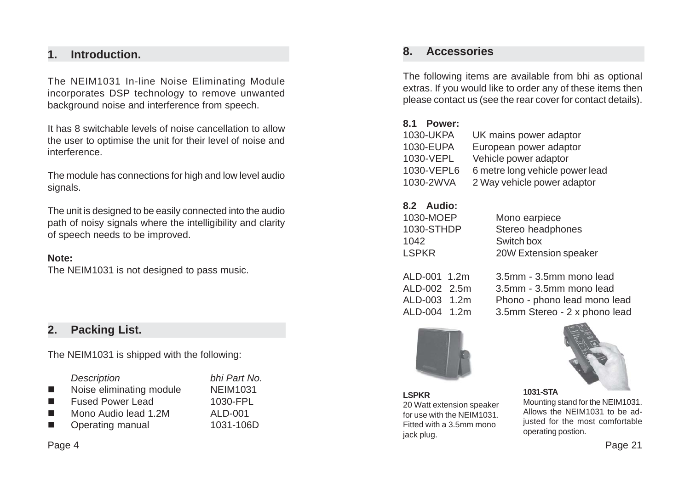# **1. Introduction.**

The NEIM1031 In-line Noise Eliminating Module incorporates DSP technology to remove unwanted background noise and interference from speech.

It has 8 switchable levels of noise cancellation to allow the user to optimise the unit for their level of noise and interference.

The module has connections for high and low level audio signals.

The unit is designed to be easily connected into the audio path of noisy signals where the intelligibility and clarity of speech needs to be improved.

#### **Note:**

The NEIM1031 is not designed to pass music.

# **2. Packing List.**

The NEIM1031 is shipped with the following:

|   | <b>Description</b>       | bhi Part No.    |
|---|--------------------------|-----------------|
| ш | Noise eliminating module | <b>NEIM1031</b> |
| ш | <b>Fused Power Lead</b>  | 1030-FPL        |
| ш | Mono Audio lead 1.2M     | ALD-001         |
| ш | Operating manual         | 1031-106D       |
|   |                          |                 |

#### Page 4

## **8. Accessories**

The following items are available from bhi as optional extras. If you would like to order any of these items then please contact us (see the rear cover for contact details).

#### **8.1 Power:**

| 1030-UKPA  | UK mains power adaptor          |
|------------|---------------------------------|
| 1030-EUPA  | European power adaptor          |
| 1030-VEPL  | Vehicle power adaptor           |
| 1030-VEPL6 | 6 metre long vehicle power lead |
| 1030-2WVA  | 2 Way vehicle power adaptor     |
|            |                                 |

#### **8.2 Audio:**

| 1030-MOEP  | Mono earpiece         |
|------------|-----------------------|
| 1030-STHDP | Stereo headphones     |
| 1042       | Switch box            |
| LSPKR      | 20W Extension speaker |
|            |                       |

| ALD-001 1.2m |  |
|--------------|--|
| ALD-002 2.5m |  |
| ALD-003 1.2m |  |
| ALD-004 1.2m |  |

ALD-001 1.2m 3.5mm - 3.5mm mono lead ALD-002 2.5m 3.5mm - 3.5mm mono lead Phono - phono lead mono lead 3.5mm Stereo - 2 x phono lead



**LSPKR** 20 Watt extension speaker for use with the NEIM1031. Fitted with a 3.5mm mono jack plug.



Mounting stand for the NEIM1031. Allows the NEIM1031 to be adjusted for the most comfortable operating postion.

Page 21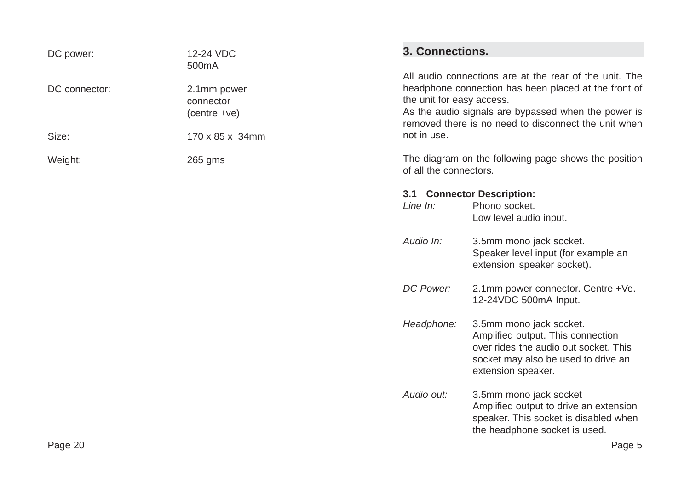| DC power:                                     | 12-24 VDC                                           | 3. Connections.           |                                                                                                                                                                                                                               |
|-----------------------------------------------|-----------------------------------------------------|---------------------------|-------------------------------------------------------------------------------------------------------------------------------------------------------------------------------------------------------------------------------|
| DC connector:                                 | 500mA<br>2.1mm power<br>connector<br>$(centre +ve)$ | the unit for easy access. | All audio connections are at the rear of the unit. The<br>headphone connection has been placed at the front of<br>As the audio signals are bypassed when the power is<br>removed there is no need to disconnect the unit when |
| Size:                                         | 170 x 85 x 34mm                                     | not in use.               |                                                                                                                                                                                                                               |
| Weight:                                       | 265 gms                                             | of all the connectors.    | The diagram on the following page shows the position                                                                                                                                                                          |
|                                               |                                                     | 3.1                       | <b>Connector Description:</b>                                                                                                                                                                                                 |
|                                               |                                                     | Line $In:$                | Phono socket.<br>Low level audio input.                                                                                                                                                                                       |
|                                               |                                                     | Audio In:                 | 3.5mm mono jack socket.<br>Speaker level input (for example an<br>extension speaker socket).                                                                                                                                  |
|                                               |                                                     | DC Power:                 | 2.1mm power connector. Centre +Ve.<br>12-24VDC 500mA Input.                                                                                                                                                                   |
|                                               |                                                     | Headphone:                | 3.5mm mono jack socket.<br>Amplified output. This connection<br>over rides the audio out socket. This<br>socket may also be used to drive an<br>extension speaker.                                                            |
| $D_{0}$ $\alpha$ $\alpha$ , $\gamma$ $\alpha$ |                                                     | Audio out:                | 3.5mm mono jack socket<br>Amplified output to drive an extension<br>speaker. This socket is disabled when<br>the headphone socket is used.<br>$D \cap \cap \cap \mathcal{L}$                                                  |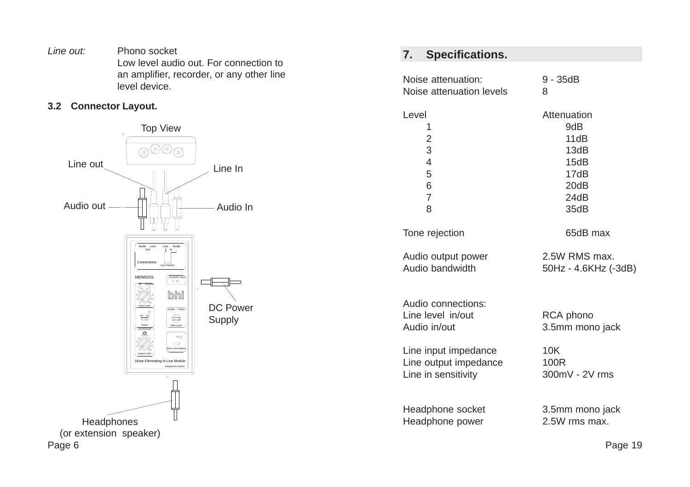*Line out:* Phono socket Low level audio out. For connection to an amplifier, recorder, or any other line level device.

#### **3.2 Connector Layout.**



# **7. Specifications.**

| Noise attenuation:                                      | $9 - 35dB$                   |
|---------------------------------------------------------|------------------------------|
| Noise attenuation levels                                | 8                            |
| Level                                                   | Attenuation                  |
| 1                                                       | 9dB                          |
| $\overline{c}$                                          | 11dB                         |
| 3                                                       | 13dB                         |
| $\overline{4}$                                          | 15dB                         |
| 5                                                       | 17dB                         |
| 6                                                       | 20dB                         |
| $\overline{7}$                                          | 24dB                         |
| 8                                                       | 35dB                         |
| Tone rejection                                          | 65dB max                     |
| Audio output power                                      | 2.5W RMS max.                |
| Audio bandwidth                                         | 50Hz - 4.6KHz (-3dB)         |
| Audio connections:<br>Line level in/out<br>Audio in/out | RCA phono<br>3.5mm mono jack |
| Line input impedance                                    | 10K                          |
| Line output impedance                                   | 100R                         |
| Line in sensitivity                                     | 300mV - 2V rms               |
| Headphone socket                                        | 3.5mm mono jack              |
| Headphone power                                         | 2.5W rms max.                |

Page 19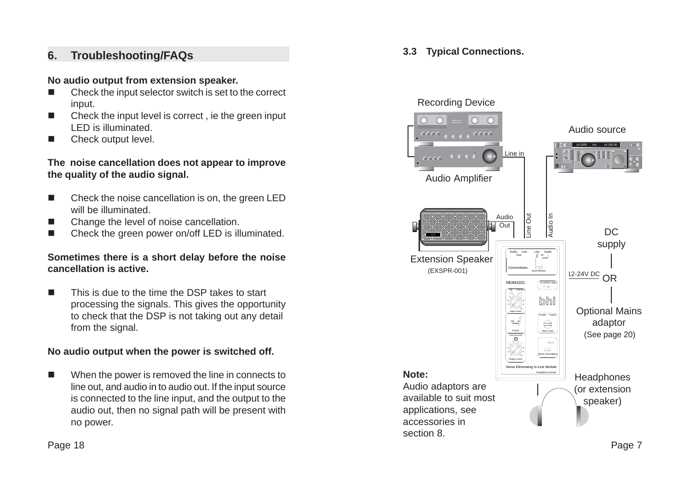# **6. Troubleshooting/FAQs**

#### **No audio output from extension speaker.**

- $\blacksquare$  Check the input selector switch is set to the correct input.
- $\blacksquare$  Check the input level is correct , ie the green input LED is illuminated.
- $\overline{\phantom{a}}$ Check output level.

#### **The noise cancellation does not appear to improve the quality of the audio signal.**

- $\Box$  Check the noise cancellation is on, the green LED will be illuminated.
- $\blacksquare$ Change the level of noise cancellation.
- $\blacksquare$ Check the green power on/off LED is illuminated.

#### **Sometimes there is a short delay before the noise cancellation is active.**

 $\blacksquare$  This is due to the time the DSP takes to start processing the signals. This gives the opportunity to check that the DSP is not taking out any detail from the signal.

# **No audio output when the power is switched off.**

 $\Box$  When the power is removed the line in connects to line out, and audio in to audio out. If the input source is connected to the line input, and the output to the audio out, then no signal path will be present with no power.

**3.3 Typical Connections.**

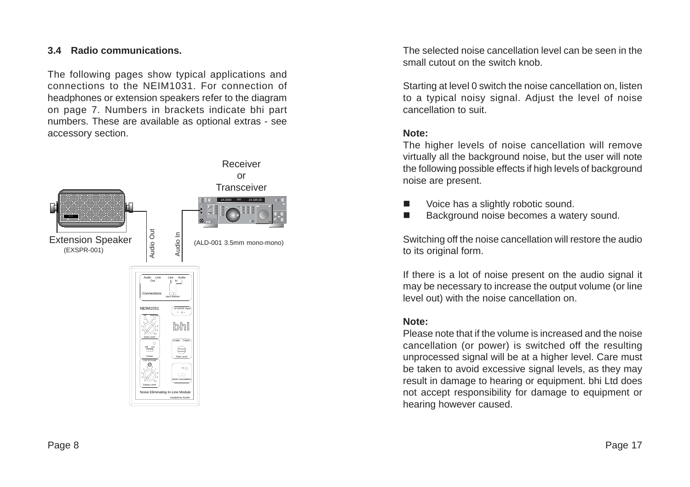#### **3.4 Radio communications.**

The following pages show typical applications and connections to the NEIM1031. For connection of headphones or extension speakers refer to the diagram on page 7. Numbers in brackets indicate bhi part numbers. These are available as optional extras - see accessory section.



The selected noise cancellation level can be seen in the small cutout on the switch knob.

Starting at level 0 switch the noise cancellation on, listen to a typical noisy signal. Adjust the level of noise cancellation to suit.

#### **Note:**

The higher levels of noise cancellation will remove virtually all the background noise, but the user will note the following possible effects if high levels of background noise are present.

- П Voice has a slightly robotic sound.
- П Background noise becomes a watery sound.

Switching off the noise cancellation will restore the audio to its original form.

If there is a lot of noise present on the audio signal it may be necessary to increase the output volume (or line level out) with the noise cancellation on.

#### **Note:**

Please note that if the volume is increased and the noise cancellation (or power) is switched off the resulting unprocessed signal will be at a higher level. Care must be taken to avoid excessive signal levels, as they may result in damage to hearing or equipment. bhi Ltd does not accept responsibility for damage to equipment or hearing however caused.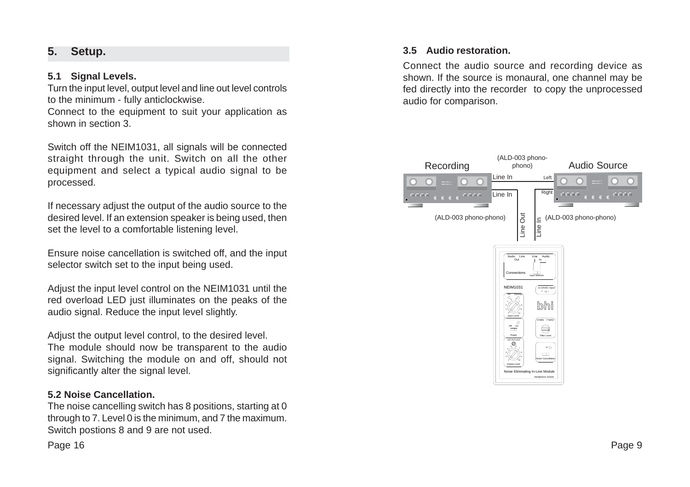# **5. Setup.**

#### **5.1 Signal Levels.**

Turn the input level, output level and line out level controls to the minimum - fully anticlockwise.

Connect to the equipment to suit your application as shown in section 3.

Switch off the NEIM1031, all signals will be connected straight through the unit. Switch on all the other equipment and select a typical audio signal to be processed.

If necessary adjust the output of the audio source to the desired level. If an extension speaker is being used, then set the level to a comfortable listening level.

Ensure noise cancellation is switched off, and the input selector switch set to the input being used.

Adjust the input level control on the NEIM1031 until the red overload LED just illuminates on the peaks of the audio signal. Reduce the input level slightly.

Adjust the output level control, to the desired level. The module should now be transparent to the audio signal. Switching the module on and off, should not significantly alter the signal level.

#### **5.2 Noise Cancellation.**

The noise cancelling switch has 8 positions, starting at 0 through to 7. Level 0 is the minimum, and 7 the maximum. Switch postions 8 and 9 are not used.

Page 16

#### **3.5 Audio restoration.**

Connect the audio source and recording device as shown. If the source is monaural, one channel may be fed directly into the recorder to copy the unprocessed audio for comparison.

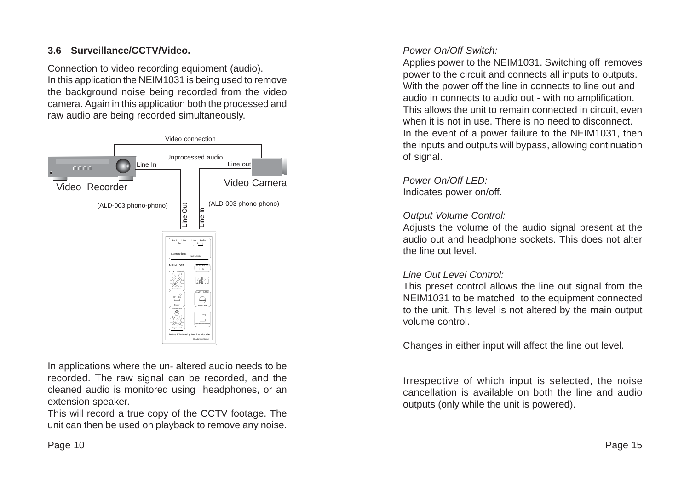## **3.6 Surveillance/CCTV/Video.**

Connection to video recording equipment (audio). In this application the NEIM1031 is being used to remove the background noise being recorded from the video camera. Again in this application both the processed and raw audio are being recorded simultaneously.



In applications where the un- altered audio needs to be recorded. The raw signal can be recorded, and the cleaned audio is monitored using headphones, or an extension speaker.

This will record a true copy of the CCTV footage. The unit can then be used on playback to remove any noise.

#### *Power On/Off Switch:*

Applies power to the NEIM1031. Switching off removes power to the circuit and connects all inputs to outputs. With the power off the line in connects to line out and audio in connects to audio out - with no amplification. This allows the unit to remain connected in circuit, even when it is not in use. There is no need to disconnect. In the event of a power failure to the NEIM1031, then the inputs and outputs will bypass, allowing continuation of signal.

# *Power On/Off LED:*

Indicates power on/off.

#### *Output Volume Control:*

Adjusts the volume of the audio signal present at the audio out and headphone sockets. This does not alter the line out level.

#### *Line Out Level Control:*

This preset control allows the line out signal from the NEIM1031 to be matched to the equipment connected to the unit. This level is not altered by the main output volume control.

Changes in either input will affect the line out level.

Irrespective of which input is selected, the noise cancellation is available on both the line and audio outputs (only while the unit is powered).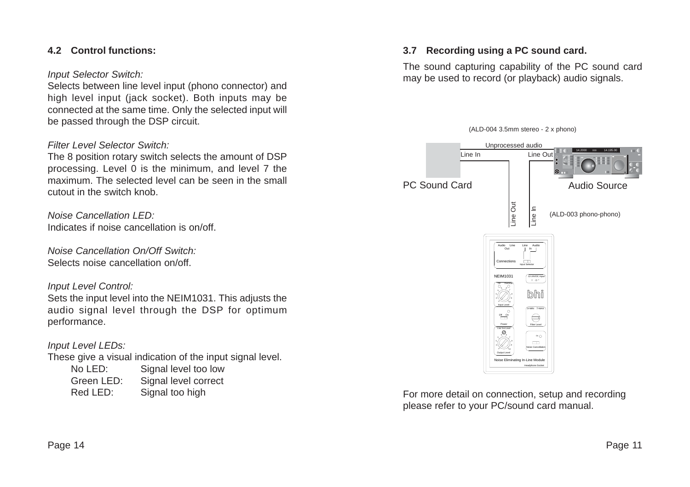#### **4.2 Control functions:**

#### *Input Selector Switch:*

Selects between line level input (phono connector) and high level input (jack socket). Both inputs may be connected at the same time. Only the selected input will be passed through the DSP circuit.

#### *Filter Level Selector Switch:*

The 8 position rotary switch selects the amount of DSP processing. Level 0 is the minimum, and level 7 the maximum. The selected level can be seen in the small cutout in the switch knob.

*Noise Cancellation LED:* Indicates if noise cancellation is on/off.

*Noise Cancellation On/Off Switch:* Selects noise cancellation on/off.

#### *Input Level Control:*

Sets the input level into the NEIM1031. This adjusts the audio signal level through the DSP for optimum performance.

#### *Input Level LEDs:*

These give a visual indication of the input signal level.

| No LED:    | Signal level too low |
|------------|----------------------|
| Green LED: | Signal level correct |
| Red LED:   | Signal too high      |

#### **3.7 Recording using a PC sound card.**

The sound capturing capability of the PC sound card may be used to record (or playback) audio signals.



For more detail on connection, setup and recording please refer to your PC/sound card manual.